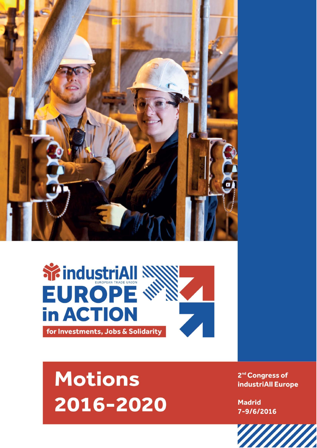



## **Motions** 2016-2020

2<sup>nd</sup> Congress of industriAll Europe

**Madrid** 7-9/6/2016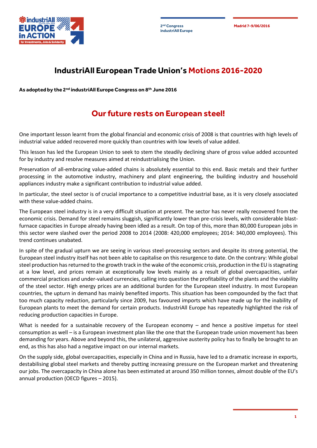**industriAll Europe**

**2 Madrid 7-9/06/2016 nd Congress**



## **IndustriAll European Trade Union's Motions 2016-2020**

**As adopted by the 2nd industriAll Europe Congress on 8th June 2016**

## **Our future rests on European steel!**

One important lesson learnt from the global financial and economic crisis of 2008 is that countries with high levels of industrial value added recovered more quickly than countries with low levels of value added.

This lesson has led the European Union to seek to stem the steadily declining share of gross value added accounted for by industry and resolve measures aimed at reindustrialising the Union.

Preservation of all-embracing value-added chains is absolutely essential to this end. Basic metals and their further processing in the automotive industry, machinery and plant engineering, the building industry and household appliances industry make a significant contribution to industrial value added.

In particular, the steel sector is of crucial importance to a competitive industrial base, as it is very closely associated with these value-added chains.

The European steel industry is in a very difficult situation at present. The sector has never really recovered from the economic crisis. Demand for steel remains sluggish, significantly lower than pre-crisis levels, with considerable blastfurnace capacities in Europe already having been idled as a result. On top of this, more than 80,000 European jobs in this sector were slashed over the period 2008 to 2014 (2008: 420,000 employees; 2014: 340,000 employees). This trend continues unabated.

In spite of the gradual upturn we are seeing in various steel-processing sectors and despite its strong potential, the European steel industry itself has not been able to capitalise on this resurgence to date. On the contrary: While global steel production has returned to the growth track in the wake of the economic crisis, production in the EU is stagnating at a low level, and prices remain at exceptionally low levels mainly as a result of global overcapacities, unfair commercial practices and under-valued currencies, calling into question the profitability of the plants and the viability of the steel sector. High energy prices are an additional burden for the European steel industry. In most European countries, the upturn in demand has mainly benefited imports. This situation has been compounded by the fact that too much capacity reduction, particularly since 2009, has favoured imports which have made up for the inability of European plants to meet the demand for certain products. IndustriAll Europe has repeatedly highlighted the risk of reducing production capacities in Europe.

What is needed for a sustainable recovery of the European economy – and hence a positive impetus for steel consumption as well – is a European investment plan like the one that the European trade union movement has been demanding for years. Above and beyond this, the unilateral, aggressive austerity policy has to finally be brought to an end, as this has also had a negative impact on our internal markets.

On the supply side, global overcapacities, especially in China and in Russia, have led to a dramatic increase in exports, destabilising global steel markets and thereby putting increasing pressure on the European market and threatening our jobs. The overcapacity in China alone has been estimated at around 350 million tonnes, almost double of the EU's annual production (OECD figures – 2015).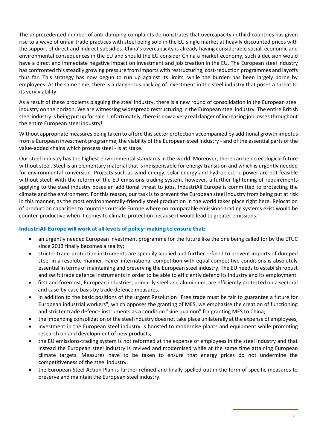The unprecedented number of anti-dumping complaints demonstrates that overcapacity in third countries has given rise to a wave of unfair trade practices with steel being sold in the EU single market at heavily discounted prices with the support of direct and indirect subsidies. China's overcapacity is already having considerable social, economic and environmental consequences in the EU and should the EU consider China a market economy, such a decision would have a direct and immediate negative impact on investment and job creation in the EU. The European steel industry has confronted this steadily growing pressure from imports with restructuring, cost-reduction programmes and layoffs thus far. This strategy has now begun to run up against its limits, while the burden has been largely borne by employees. At the same time, there is a dangerous backlog of investment in the steel industry that poses a threat to its very viability.

As a result of these problems plaguing the steel industry, there is a new round of consolidation in the European steel industry on the horizon. We are witnessing widespread restructuring in the European steel industry. The entire British steel industry is being put up for sale. Unfortunately, there is now a very real danger of increasing job losses throughout the entire European steel industry!

Without appropriate measures being taken to afford this sector protection accompanied by additional growth impetus from a European investment programme, the viability of the European steel industry - and of the essential parts of the value-added chains which process steel - is at stake.

Our steel industry has the highest environmental standards in the world. Moreover, there can be no ecological future without steel. Steel is an elementary material that is indispensable for energy transition and which is urgently needed for environmental conversion. Projects such as wind energy, solar energy and hydroelectric power are not feasible without steel. With the reform of the EU emissions-trading system, however, a further tightening of requirements applying to the steel industry poses an additional threat to jobs. IndustriAll Europe is committed to protecting the climate and the environment. For this reason, our task is to prevent the European steel industry from being put at risk in this manner, as the most environmentally-friendly steel production in the world takes place right here. Relocation of production capacities to countries outside Europe where no comparable emissions-trading systems exist would be counter-productive when it comes to climate protection because it would lead to greater emissions.

## **IndustriAll Europe will work at all levels of policy-making to ensure that:**

- an urgently needed European investment programme for the future like the one being called for by the ETUC since 2013 finally becomes a reality;
- stricter trade-protection instruments are speedily applied and further refined to prevent imports of dumped steel in a resolute manner. Fairer international competition with equal competitive conditions is absolutely essential in terms of maintaining and preserving the European steel industry. The EU needs to establish robust and swift trade defence instruments in order to be able to efficiently defend its industry and its employment.
- first and foremost, European industries, primarily steel and aluminium, are efficiently protected on a sectoral and case-by-case basis by trade defence measures.
- in addition to the basic positions of the urgent Resolution "Free trade must be fair to guarantee a future for European industrial workers", which opposes the granting of MES, we emphasise the creation of functioning and stricter trade defence instruments as a condition "sine qua non" for granting MES to China;
- the impending consolidation of the steel industry does not take place unilaterally at the expense of employees;
- investment in the European steel industry is boosted to modernise plants and equipment while promoting research on and development of new products;
- the EU emissions-trading system is not reformed at the expense of employees in the steel industry and that instead the European steel industry is revived and modernised while at the same time attaining European climate targets. Measures have to be taken to ensure that energy prices do not undermine the competitiveness of the steel industry.
- the European Steel Action Plan is further refined and finally spelled out in the form of specific measures to preserve and maintain the European steel industry.